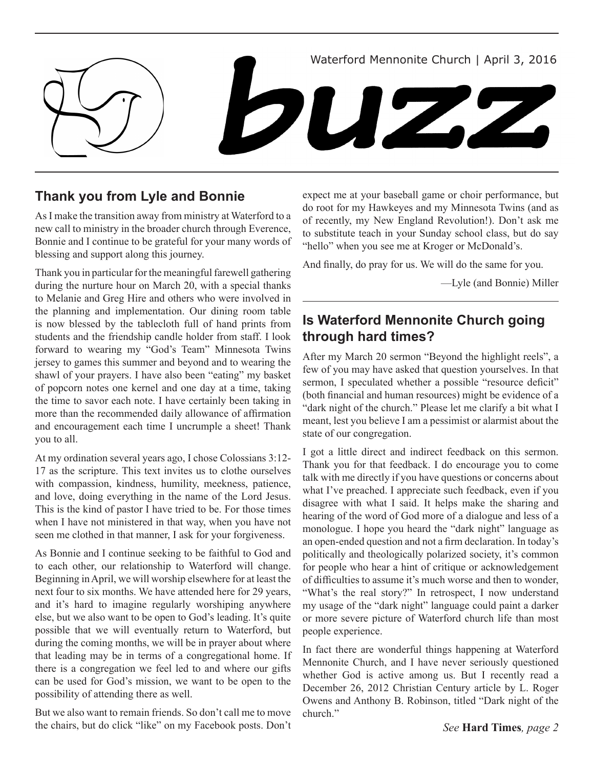

## **Thank you from Lyle and Bonnie**

As I make the transition away from ministry at Waterford to a new call to ministry in the broader church through Everence, Bonnie and I continue to be grateful for your many words of blessing and support along this journey.

Thank you in particular for the meaningful farewell gathering during the nurture hour on March 20, with a special thanks to Melanie and Greg Hire and others who were involved in the planning and implementation. Our dining room table is now blessed by the tablecloth full of hand prints from students and the friendship candle holder from staff. I look forward to wearing my "God's Team" Minnesota Twins jersey to games this summer and beyond and to wearing the shawl of your prayers. I have also been "eating" my basket of popcorn notes one kernel and one day at a time, taking the time to savor each note. I have certainly been taking in more than the recommended daily allowance of affirmation and encouragement each time I uncrumple a sheet! Thank you to all.

At my ordination several years ago, I chose Colossians 3:12- 17 as the scripture. This text invites us to clothe ourselves with compassion, kindness, humility, meekness, patience, and love, doing everything in the name of the Lord Jesus. This is the kind of pastor I have tried to be. For those times when I have not ministered in that way, when you have not seen me clothed in that manner, I ask for your forgiveness.

As Bonnie and I continue seeking to be faithful to God and to each other, our relationship to Waterford will change. Beginning in April, we will worship elsewhere for at least the next four to six months. We have attended here for 29 years, and it's hard to imagine regularly worshiping anywhere else, but we also want to be open to God's leading. It's quite possible that we will eventually return to Waterford, but during the coming months, we will be in prayer about where that leading may be in terms of a congregational home. If there is a congregation we feel led to and where our gifts can be used for God's mission, we want to be open to the possibility of attending there as well.

But we also want to remain friends. So don't call me to move the chairs, but do click "like" on my Facebook posts. Don't

expect me at your baseball game or choir performance, but do root for my Hawkeyes and my Minnesota Twins (and as of recently, my New England Revolution!). Don't ask me to substitute teach in your Sunday school class, but do say "hello" when you see me at Kroger or McDonald's.

And finally, do pray for us. We will do the same for you.

—Lyle (and Bonnie) Miller

## **Is Waterford Mennonite Church going through hard times?**

After my March 20 sermon "Beyond the highlight reels", a few of you may have asked that question yourselves. In that sermon, I speculated whether a possible "resource deficit" (both financial and human resources) might be evidence of a "dark night of the church." Please let me clarify a bit what I meant, lest you believe I am a pessimist or alarmist about the state of our congregation.

I got a little direct and indirect feedback on this sermon. Thank you for that feedback. I do encourage you to come talk with me directly if you have questions or concerns about what I've preached. I appreciate such feedback, even if you disagree with what I said. It helps make the sharing and hearing of the word of God more of a dialogue and less of a monologue. I hope you heard the "dark night" language as an open-ended question and not a firm declaration. In today's politically and theologically polarized society, it's common for people who hear a hint of critique or acknowledgement of difficulties to assume it's much worse and then to wonder, "What's the real story?" In retrospect, I now understand my usage of the "dark night" language could paint a darker or more severe picture of Waterford church life than most people experience.

In fact there are wonderful things happening at Waterford Mennonite Church, and I have never seriously questioned whether God is active among us. But I recently read a December 26, 2012 Christian Century article by L. Roger Owens and Anthony B. Robinson, titled "Dark night of the church."